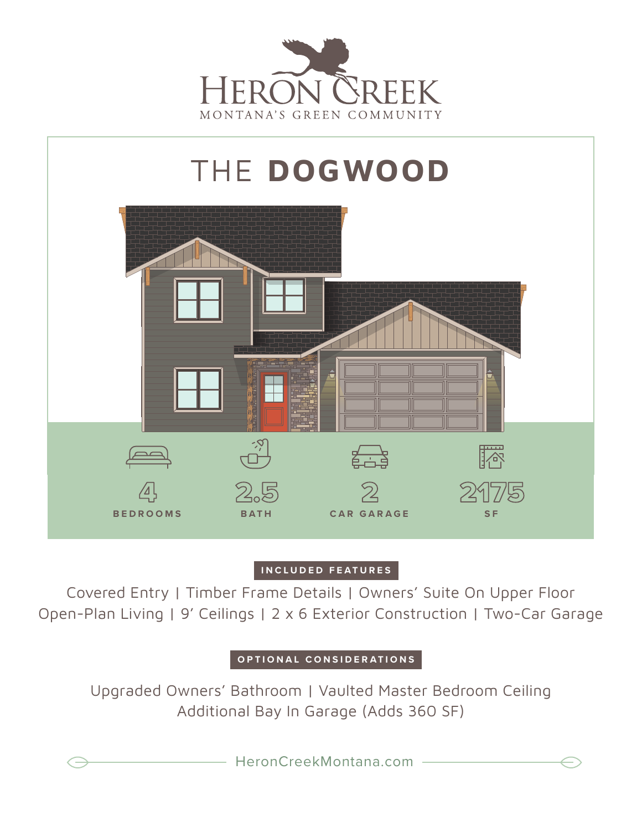



## **INCLUDED FEATURES**

Covered Entry | Timber Frame Details | Owners' Suite On Upper Floor Open-Plan Living | 9' Ceilings | 2 x 6 Exterior Construction | Two-Car Garage

## **OPTIONAL CONSIDERATIONS**

Upgraded Owners' Bathroom | Vaulted Master Bedroom Ceiling Additional Bay In Garage (Adds 360 SF)

HeronCreekMontana.com